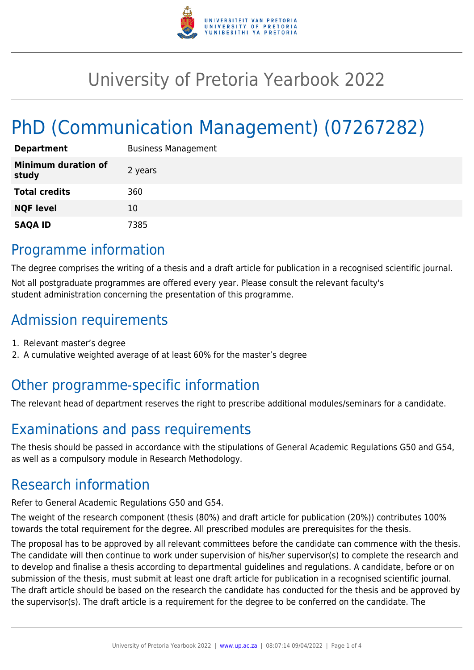

# University of Pretoria Yearbook 2022

# PhD (Communication Management) (07267282)

| <b>Department</b>                   | <b>Business Management</b> |
|-------------------------------------|----------------------------|
| <b>Minimum duration of</b><br>study | 2 years                    |
| <b>Total credits</b>                | 360                        |
| <b>NQF level</b>                    | 10                         |
| <b>SAQA ID</b>                      | 7385                       |

### Programme information

The degree comprises the writing of a thesis and a draft article for publication in a recognised scientific journal. Not all postgraduate programmes are offered every year. Please consult the relevant faculty's student administration concerning the presentation of this programme.

### Admission requirements

- 1. Relevant master's degree
- 2. A cumulative weighted average of at least 60% for the master's degree

### Other programme-specific information

The relevant head of department reserves the right to prescribe additional modules/seminars for a candidate.

## Examinations and pass requirements

The thesis should be passed in accordance with the stipulations of General Academic Regulations G50 and G54, as well as a compulsory module in Research Methodology.

### Research information

Refer to General Academic Regulations G50 and G54.

The weight of the research component (thesis (80%) and draft article for publication (20%)) contributes 100% towards the total requirement for the degree. All prescribed modules are prerequisites for the thesis.

The proposal has to be approved by all relevant committees before the candidate can commence with the thesis. The candidate will then continue to work under supervision of his/her supervisor(s) to complete the research and to develop and finalise a thesis according to departmental guidelines and regulations. A candidate, before or on submission of the thesis, must submit at least one draft article for publication in a recognised scientific journal. The draft article should be based on the research the candidate has conducted for the thesis and be approved by the supervisor(s). The draft article is a requirement for the degree to be conferred on the candidate. The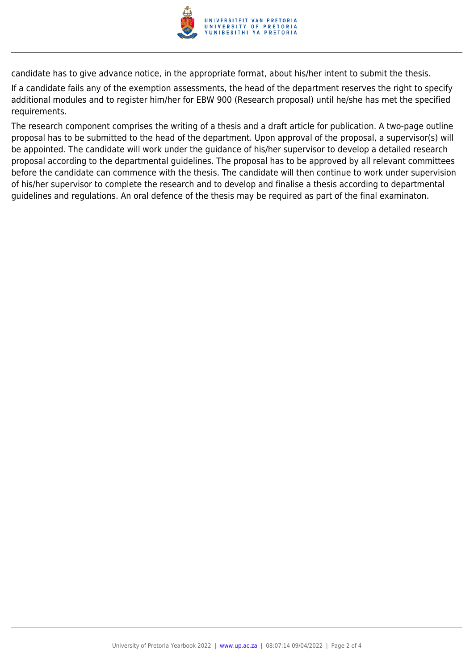

candidate has to give advance notice, in the appropriate format, about his/her intent to submit the thesis.

If a candidate fails any of the exemption assessments, the head of the department reserves the right to specify additional modules and to register him/her for EBW 900 (Research proposal) until he/she has met the specified requirements.

The research component comprises the writing of a thesis and a draft article for publication. A two-page outline proposal has to be submitted to the head of the department. Upon approval of the proposal, a supervisor(s) will be appointed. The candidate will work under the guidance of his/her supervisor to develop a detailed research proposal according to the departmental guidelines. The proposal has to be approved by all relevant committees before the candidate can commence with the thesis. The candidate will then continue to work under supervision of his/her supervisor to complete the research and to develop and finalise a thesis according to departmental guidelines and regulations. An oral defence of the thesis may be required as part of the final examinaton.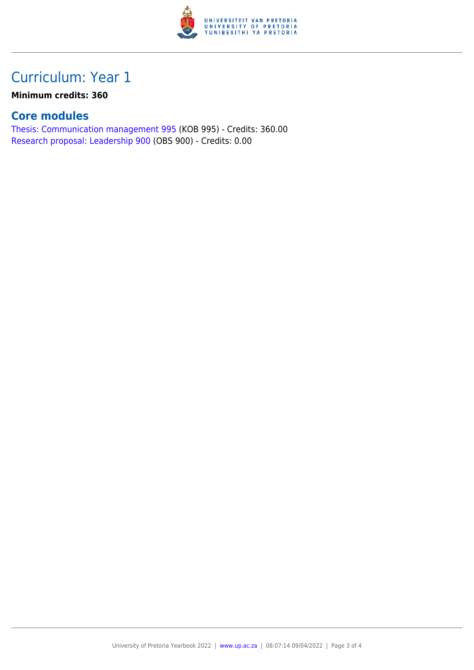

## Curriculum: Year 1

#### **Minimum credits: 360**

#### **Core modules**

[Thesis: Communication management 995](https://www.up.ac.za/faculty-of-education/yearbooks/2022/modules/view/KOB 995) (KOB 995) - Credits: 360.00 [Research proposal: Leadership 900](https://www.up.ac.za/faculty-of-education/yearbooks/2022/modules/view/OBS 900) (OBS 900) - Credits: 0.00